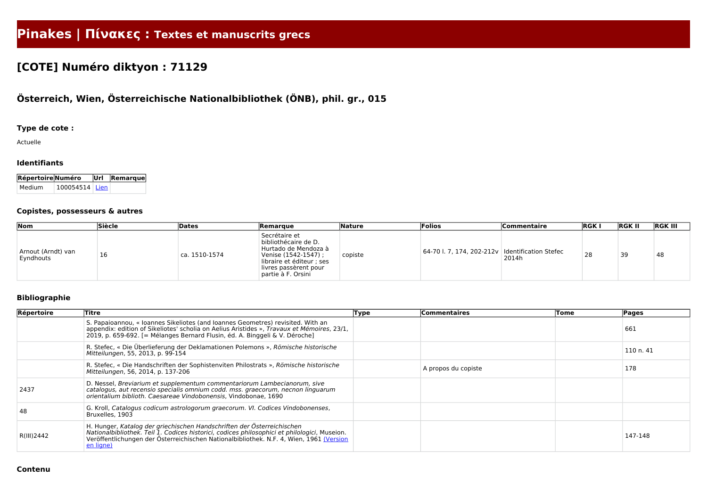# **Pinakes | Πίνακες : Textes et manuscrits grecs**

# **[COTE] Numéro diktyon : 71129**

# **Österreich, Wien, Österreichische Nationalbibliothek (ÖNB), phil. gr., 015**

## **Type de cote :**

Actuelle

#### **Identifiants**

| RépertoireNuméro |                  | Url Remarque |
|------------------|------------------|--------------|
| l Medium.        | $100054514$ Lien |              |

#### **Copistes, possesseurs & autres**

| Nom                             | Siècle | Dates         | <b>IRemarque</b>                                                                                                                                                  | <b>Nature</b> | <b>Folios</b>                                     | <b>Commentaire</b> | <b>RGKI</b> | <b>RGK II</b> | <b>RGK III</b> |
|---------------------------------|--------|---------------|-------------------------------------------------------------------------------------------------------------------------------------------------------------------|---------------|---------------------------------------------------|--------------------|-------------|---------------|----------------|
| Arnout (Arndt) van<br>Eyndhouts | Τp     | ca. 1510-1574 | Secrétaire et<br>bibliothécaire de D.<br>Hurtado de Mendoza à<br>Venise (1542-1547) ;<br>libraire et éditeur ; ses<br>livres passèrent pour<br>partie à F. Orsini | copiste       | 64-70 l. 7, 174, 202-212v   Identification Stefec | 2014h              | 28          | 39            | 48             |

### **Bibliographie**

| Répertoire | Titre                                                                                                                                                                                                                                                                                 | <b>Type</b> | <b>Commentaires</b> | Tome | Pages     |
|------------|---------------------------------------------------------------------------------------------------------------------------------------------------------------------------------------------------------------------------------------------------------------------------------------|-------------|---------------------|------|-----------|
|            | S. Papaioannou, « Ioannes Sikeliotes (and Ioannes Geometres) revisited. With an<br>appendix: edition of Sikeliotes' scholia on Aelius Aristides », Travaux et Mémoires, 23/1,<br>2019, p. 659-692. [= Mélanges Bernard Flusin, éd. A. Binggeli & V. Déroche]                          |             |                     |      | 661       |
|            | R. Stefec, « Die Überlieferung der Deklamationen Polemons », Römische historische<br>Mitteilungen, 55, 2013, p. 99-154                                                                                                                                                                |             |                     |      | 110 n. 41 |
|            | R. Stefec, « Die Handschriften der Sophistenviten Philostrats », Römische historische<br>Mitteilungen, 56, 2014, p. 137-206                                                                                                                                                           |             | A propos du copiste |      | 178       |
| 2437       | D. Nessel, Breviarium et supplementum commentariorum Lambecianorum, sive<br>catalogus, aut recensio specialis omnium codd. mss. graecorum, necnon linguarum<br>orientalium biblioth. Caesareae Vindobonensis, Vindobonae, 1690                                                        |             |                     |      |           |
| 48         | G. Kroll, Catalogus codicum astrologorum graecorum. VI. Codices Vindobonenses,<br>Bruxelles, 1903                                                                                                                                                                                     |             |                     |      |           |
| R(III)2442 | H. Hunger, Katalog der griechischen Handschriften der Österreichischen<br>Nationalbibliothek. Teil 1. Codices historici, codices philosophici et philologici, Museion.<br>Veröffentlichungen der Österreichischen Nationalbibliothek. N.F. 4, Wien, 1961 (Version<br><u>en ligne)</u> |             |                     |      | 147-148   |